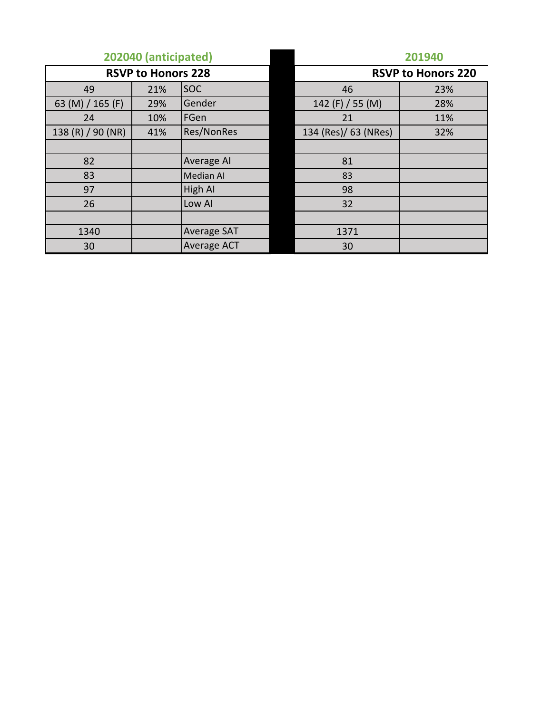|                   | 202040 (anticipated)      |                    | 201940<br><b>RSVP to Honors 220</b> |     |  |  |  |
|-------------------|---------------------------|--------------------|-------------------------------------|-----|--|--|--|
|                   | <b>RSVP to Honors 228</b> |                    |                                     |     |  |  |  |
| 49                | 21%                       | <b>SOC</b>         | 46                                  | 23% |  |  |  |
| 63 (M) / 165 (F)  | 29%                       | Gender             | 142 $(F)$ / 55 $(M)$                | 28% |  |  |  |
| 24                | 10%                       | FGen               | 21                                  | 11% |  |  |  |
| 138 (R) / 90 (NR) | 41%                       | <b>Res/NonRes</b>  | 134 (Res)/ 63 (NRes)                | 32% |  |  |  |
|                   |                           |                    |                                     |     |  |  |  |
| 82                |                           | Average AI         | 81                                  |     |  |  |  |
| 83                |                           | Median AI          | 83                                  |     |  |  |  |
| 97                |                           | High AI            | 98                                  |     |  |  |  |
| 26                |                           | Low AI             | 32                                  |     |  |  |  |
|                   |                           |                    |                                     |     |  |  |  |
| 1340              |                           | <b>Average SAT</b> | 1371                                |     |  |  |  |
| 30                |                           | Average ACT        | 30                                  |     |  |  |  |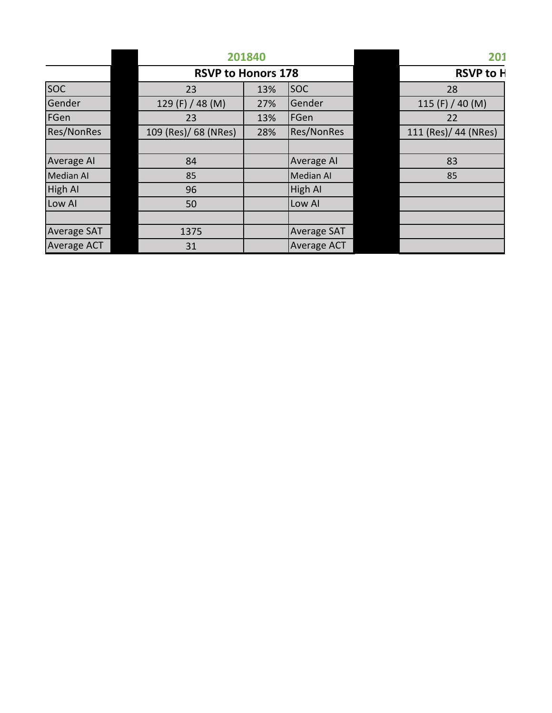|                    |                           | 201840 |                    | 201 |                      |
|--------------------|---------------------------|--------|--------------------|-----|----------------------|
|                    | <b>RSVP to Honors 178</b> |        | <b>RSVP to H</b>   |     |                      |
| <b>SOC</b>         | 23                        | 13%    | <b>SOC</b>         |     | 28                   |
| Gender             | 129 (F) / 48 (M)          | 27%    | Gender             |     | 115 (F) / 40 (M)     |
| FGen               | 23                        | 13%    | FGen               |     | 22                   |
| <b>Res/NonRes</b>  | 109 (Res)/ 68 (NRes)      | 28%    | <b>Res/NonRes</b>  |     | 111 (Res)/ 44 (NRes) |
|                    |                           |        |                    |     |                      |
| Average AI         | 84                        |        | Average AI         |     | 83                   |
| <b>Median AI</b>   | 85                        |        | Median AI          |     | 85                   |
| High AI            | 96                        |        | <b>High AI</b>     |     |                      |
| Low AI             | 50                        |        | Low AI             |     |                      |
|                    |                           |        |                    |     |                      |
| <b>Average SAT</b> | 1375                      |        | <b>Average SAT</b> |     |                      |
| Average ACT        | 31                        |        | <b>Average ACT</b> |     |                      |